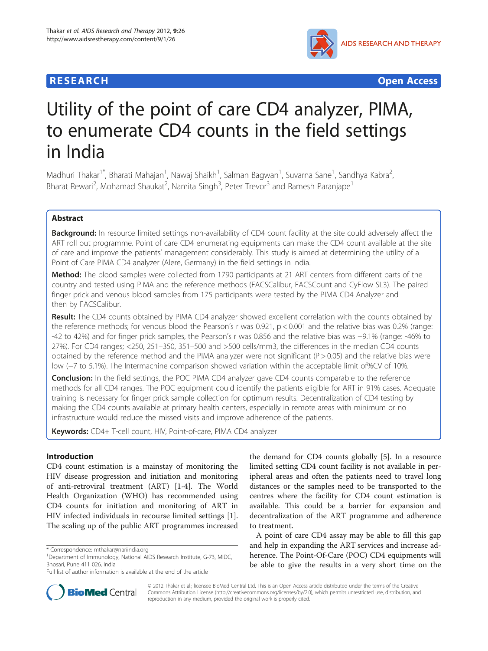## **RESEARCH CHEAR CHEAR CHEAR CHEAR CHEAR CHEAR CHEAR CHEAR CHEAR CHEAR CHEAR CHEAR CHEAR CHEAR CHEAR CHEAR CHEAR**



# Utility of the point of care CD4 analyzer, PIMA, to enumerate CD4 counts in the field settings in India

Madhuri Thakar<sup>1\*</sup>, Bharati Mahajan<sup>1</sup>, Nawaj Shaikh<sup>1</sup>, Salman Bagwan<sup>1</sup>, Suvarna Sane<sup>1</sup>, Sandhya Kabra<sup>2</sup> , Bharat Rewari<sup>2</sup>, Mohamad Shaukat<sup>2</sup>, Namita Singh<sup>3</sup>, Peter Trevor<sup>3</sup> and Ramesh Paranjape<sup>1</sup>

## Abstract

Background: In resource limited settings non-availability of CD4 count facility at the site could adversely affect the ART roll out programme. Point of care CD4 enumerating equipments can make the CD4 count available at the site of care and improve the patients' management considerably. This study is aimed at determining the utility of a Point of Care PIMA CD4 analyzer (Alere, Germany) in the field settings in India.

**Method:** The blood samples were collected from 1790 participants at 21 ART centers from different parts of the country and tested using PIMA and the reference methods (FACSCalibur, FACSCount and CyFlow SL3). The paired finger prick and venous blood samples from 175 participants were tested by the PIMA CD4 Analyzer and then by FACSCalibur.

Result: The CD4 counts obtained by PIMA CD4 analyzer showed excellent correlation with the counts obtained by the reference methods; for venous blood the Pearson's r was 0.921, p < 0.001 and the relative bias was 0.2% (range: -42 to 42%) and for finger prick samples, the Pearson's r was 0.856 and the relative bias was −9.1% (range: -46% to 27%). For CD4 ranges; <250, 251–350, 351–500 and >500 cells/mm3, the differences in the median CD4 counts obtained by the reference method and the PIMA analyzer were not significant ( $P > 0.05$ ) and the relative bias were low (−7 to 5.1%). The Intermachine comparison showed variation within the acceptable limit of%CV of 10%.

**Conclusion:** In the field settings, the POC PIMA CD4 analyzer gave CD4 counts comparable to the reference methods for all CD4 ranges. The POC equipment could identify the patients eligible for ART in 91% cases. Adequate training is necessary for finger prick sample collection for optimum results. Decentralization of CD4 testing by making the CD4 counts available at primary health centers, especially in remote areas with minimum or no infrastructure would reduce the missed visits and improve adherence of the patients.

Keywords: CD4+ T-cell count, HIV, Point-of-care, PIMA CD4 analyzer

#### Introduction

CD4 count estimation is a mainstay of monitoring the HIV disease progression and initiation and monitoring of anti-retroviral treatment (ART) [\[1](#page-5-0)-[4\]](#page-6-0). The World Health Organization (WHO) has recommended using CD4 counts for initiation and monitoring of ART in HIV infected individuals in recourse limited settings [\[1](#page-5-0)]. The scaling up of the public ART programmes increased the demand for CD4 counts globally [[5\]](#page-6-0). In a resource limited setting CD4 count facility is not available in peripheral areas and often the patients need to travel long distances or the samples need to be transported to the centres where the facility for CD4 count estimation is available. This could be a barrier for expansion and decentralization of the ART programme and adherence to treatment.

A point of care CD4 assay may be able to fill this gap and help in expanding the ART services and increase adherence. The Point-Of-Care (POC) CD4 equipments will be able to give the results in a very short time on the



© 2012 Thakar et al.; licensee BioMed Central Ltd. This is an Open Access article distributed under the terms of the Creative Commons Attribution License [\(http://creativecommons.org/licenses/by/2.0\)](http://creativecommons.org/licenses/by/2.0), which permits unrestricted use, distribution, and reproduction in any medium, provided the original work is properly cited.

<sup>\*</sup> Correspondence: [mthakar@nariindia.org](mailto:mthakar@nariindia.org) <sup>1</sup>

<sup>&</sup>lt;sup>1</sup>Department of Immunology, National AIDS Research Institute, G-73, MIDC, Bhosari, Pune 411 026, India

Full list of author information is available at the end of the article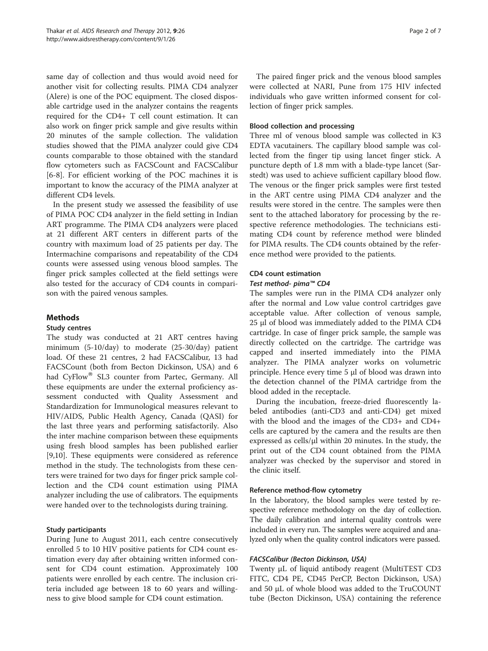same day of collection and thus would avoid need for another visit for collecting results. PIMA CD4 analyzer (Alere) is one of the POC equipment. The closed disposable cartridge used in the analyzer contains the reagents required for the CD4+ T cell count estimation. It can also work on finger prick sample and give results within 20 minutes of the sample collection. The validation studies showed that the PIMA analyzer could give CD4 counts comparable to those obtained with the standard flow cytometers such as FACSCount and FACSCalibur [[6-8](#page-6-0)]. For efficient working of the POC machines it is important to know the accuracy of the PIMA analyzer at different CD4 levels.

In the present study we assessed the feasibility of use of PIMA POC CD4 analyzer in the field setting in Indian ART programme. The PIMA CD4 analyzers were placed at 21 different ART centers in different parts of the country with maximum load of 25 patients per day. The Intermachine comparisons and repeatability of the CD4 counts were assessed using venous blood samples. The finger prick samples collected at the field settings were also tested for the accuracy of CD4 counts in comparison with the paired venous samples.

## **Methods**

#### Study centres

The study was conducted at 21 ART centres having minimum (5-10/day) to moderate (25-30/day) patient load. Of these 21 centres, 2 had FACSCalibur, 13 had FACSCount (both from Becton Dickinson, USA) and 6 had CyFlow® SL3 counter from Partec, Germany. All these equipments are under the external proficiency assessment conducted with Quality Assessment and Standardization for Immunological measures relevant to HIV/AIDS, Public Health Agency, Canada (QASI) for the last three years and performing satisfactorily. Also the inter machine comparison between these equipments using fresh blood samples has been published earlier [[9,10\]](#page-6-0). These equipments were considered as reference method in the study. The technologists from these centers were trained for two days for finger prick sample collection and the CD4 count estimation using PIMA analyzer including the use of calibrators. The equipments were handed over to the technologists during training.

## Study participants

During June to August 2011, each centre consecutively enrolled 5 to 10 HIV positive patients for CD4 count estimation every day after obtaining written informed consent for CD4 count estimation. Approximately 100 patients were enrolled by each centre. The inclusion criteria included age between 18 to 60 years and willingness to give blood sample for CD4 count estimation.

The paired finger prick and the venous blood samples were collected at NARI, Pune from 175 HIV infected individuals who gave written informed consent for collection of finger prick samples.

#### Blood collection and processing

Three ml of venous blood sample was collected in K3 EDTA vacutainers. The capillary blood sample was collected from the finger tip using lancet finger stick. A puncture depth of 1.8 mm with a blade-type lancet (Sarstedt) was used to achieve sufficient capillary blood flow. The venous or the finger prick samples were first tested in the ART centre using PIMA CD4 analyzer and the results were stored in the centre. The samples were then sent to the attached laboratory for processing by the respective reference methodologies. The technicians estimating CD4 count by reference method were blinded for PIMA results. The CD4 counts obtained by the reference method were provided to the patients.

## CD4 count estimation

### Test method- pima™ CD4

The samples were run in the PIMA CD4 analyzer only after the normal and Low value control cartridges gave acceptable value. After collection of venous sample, 25 μl of blood was immediately added to the PIMA CD4 cartridge. In case of finger prick sample, the sample was directly collected on the cartridge. The cartridge was capped and inserted immediately into the PIMA analyzer. The PIMA analyzer works on volumetric principle. Hence every time 5 μl of blood was drawn into the detection channel of the PIMA cartridge from the blood added in the receptacle.

During the incubation, freeze-dried fluorescently labeled antibodies (anti-CD3 and anti-CD4) get mixed with the blood and the images of the CD3+ and CD4+ cells are captured by the camera and the results are then expressed as cells/μl within 20 minutes. In the study, the print out of the CD4 count obtained from the PIMA analyzer was checked by the supervisor and stored in the clinic itself.

## Reference method-flow cytometry

In the laboratory, the blood samples were tested by respective reference methodology on the day of collection. The daily calibration and internal quality controls were included in every run. The samples were acquired and analyzed only when the quality control indicators were passed.

#### FACSCalibur (Becton Dickinson, USA)

Twenty μL of liquid antibody reagent (MultiTEST CD3 FITC, CD4 PE, CD45 PerCP, Becton Dickinson, USA) and 50 μL of whole blood was added to the TruCOUNT tube (Becton Dickinson, USA) containing the reference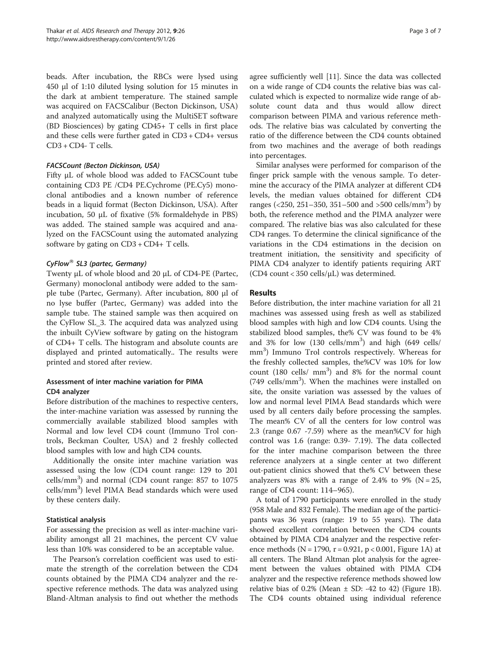beads. After incubation, the RBCs were lysed using 450 μl of 1:10 diluted lysing solution for 15 minutes in the dark at ambient temperature. The stained sample was acquired on FACSCalibur (Becton Dickinson, USA) and analyzed automatically using the MultiSET software (BD Biosciences) by gating CD45+ T cells in first place and these cells were further gated in CD3 + CD4+ versus CD3 + CD4- T cells.

#### FACSCount (Becton Dickinson, USA)

Fifty μL of whole blood was added to FACSCount tube containing CD3 PE /CD4 PE.Cychrome (PE.Cy5) monoclonal antibodies and a known number of reference beads in a liquid format (Becton Dickinson, USA). After incubation, 50 μL of fixative (5% formaldehyde in PBS) was added. The stained sample was acquired and analyzed on the FACSCount using the automated analyzing software by gating on CD3 + CD4+ T cells.

#### CyFlow<sup>®</sup> SL3 (partec, Germany)

Twenty μL of whole blood and 20 μL of CD4-PE (Partec, Germany) monoclonal antibody were added to the sample tube (Partec, Germany). After incubation, 800 μl of no lyse buffer (Partec, Germany) was added into the sample tube. The stained sample was then acquired on the CyFlow SL\_3. The acquired data was analyzed using the inbuilt CyView software by gating on the histogram of CD4+ T cells. The histogram and absolute counts are displayed and printed automatically.. The results were printed and stored after review.

#### Assessment of inter machine variation for PIMA CD4 analyzer

Before distribution of the machines to respective centers, the inter-machine variation was assessed by running the commercially available stabilized blood samples with Normal and low level CD4 count (Immuno Trol controls, Beckman Coulter, USA) and 2 freshly collected blood samples with low and high CD4 counts.

Additionally the onsite inter machine variation was assessed using the low (CD4 count range: 129 to 201 cells/mm<sup>3</sup> ) and normal (CD4 count range: 857 to 1075 cells/mm<sup>3</sup>) level PIMA Bead standards which were used by these centers daily.

#### Statistical analysis

For assessing the precision as well as inter-machine variability amongst all 21 machines, the percent CV value less than 10% was considered to be an acceptable value.

The Pearson's correlation coefficient was used to estimate the strength of the correlation between the CD4 counts obtained by the PIMA CD4 analyzer and the respective reference methods. The data was analyzed using Bland-Altman analysis to find out whether the methods agree sufficiently well [\[11](#page-6-0)]. Since the data was collected on a wide range of CD4 counts the relative bias was calculated which is expected to normalize wide range of absolute count data and thus would allow direct comparison between PIMA and various reference methods. The relative bias was calculated by converting the ratio of the difference between the CD4 counts obtained from two machines and the average of both readings into percentages.

Similar analyses were performed for comparison of the finger prick sample with the venous sample. To determine the accuracy of the PIMA analyzer at different CD4 levels, the median values obtained for different CD4 ranges (<250, 251-350, 351-500 and >500 cells/mm<sup>3</sup>) by both, the reference method and the PIMA analyzer were compared. The relative bias was also calculated for these CD4 ranges. To determine the clinical significance of the variations in the CD4 estimations in the decision on treatment initiation, the sensitivity and specificity of PIMA CD4 analyzer to identify patients requiring ART (CD4 count < 350 cells/μL) was determined.

#### Results

Before distribution, the inter machine variation for all 21 machines was assessed using fresh as well as stabilized blood samples with high and low CD4 counts. Using the stabilized blood samples, the% CV was found to be 4% and  $3\%$  for low (130 cells/mm<sup>3</sup>) and high (649 cells/ mm<sup>3</sup>) Immuno Trol controls respectively. Whereas for the freshly collected samples, the%CV was 10% for low count  $(180 \text{ cells}/\text{mm}^3)$  and  $8\%$  for the normal count (749 cells/mm<sup>3</sup>). When the machines were installed on site, the onsite variation was assessed by the values of low and normal level PIMA Bead standards which were used by all centers daily before processing the samples. The mean% CV of all the centers for low control was 2.3 (range 0.67 -7.59) where as the mean%CV for high control was 1.6 (range: 0.39- 7.19). The data collected for the inter machine comparison between the three reference analyzers at a single center at two different out-patient clinics showed that the% CV between these analyzers was 8% with a range of 2.4% to 9% ( $N = 25$ , range of CD4 count: 114–965).

A total of 1790 participants were enrolled in the study (958 Male and 832 Female). The median age of the participants was 36 years (range: 19 to 55 years). The data showed excellent correlation between the CD4 counts obtained by PIMA CD4 analyzer and the respective reference methods (N = 1790, r = 0.921, p < 0.001, Figure [1](#page-3-0)A) at all centers. The Bland Altman plot analysis for the agreement between the values obtained with PIMA CD4 analyzer and the respective reference methods showed low relative bias of 0.2% (Mean  $\pm$  SD: -42 to 42) (Figure [1B](#page-3-0)). The CD4 counts obtained using individual reference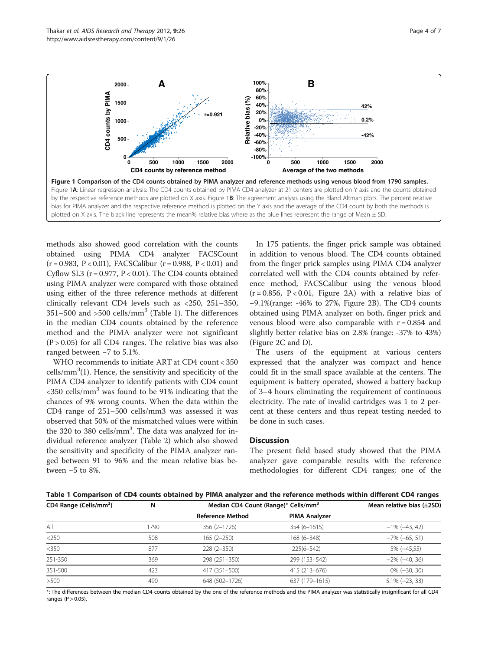methods also showed good correlation with the counts obtained using PIMA CD4 analyzer FACSCount  $(r = 0.983, P < 0.01)$ , FACSCalibur  $(r = 0.988, P < 0.01)$  and Cyflow SL3 ( $r = 0.977$ ,  $P < 0.01$ ). The CD4 counts obtained using PIMA analyzer were compared with those obtained using either of the three reference methods at different clinically relevant CD4 levels such as <250, 251–350,  $351-500$  and  $>500$  cells/mm<sup>3</sup> (Table 1). The differences in the median CD4 counts obtained by the reference method and the PIMA analyzer were not significant  $(P > 0.05)$  for all CD4 ranges. The relative bias was also ranged between −7 to 5.1%.

WHO recommends to initiate ART at CD4 count < 350  $\text{cells/mm}^3(1)$ . Hence, the sensitivity and specificity of the PIMA CD4 analyzer to identify patients with CD4 count  $\langle$ 350 cells/mm<sup>3</sup> was found to be 91% indicating that the chances of 9% wrong counts. When the data within the CD4 range of 251–500 cells/mm3 was assessed it was observed that 50% of the mismatched values were within the 320 to 380 cells/mm<sup>3</sup>. The data was analyzed for individual reference analyzer (Table [2](#page-4-0)) which also showed the sensitivity and specificity of the PIMA analyzer ranged between 91 to 96% and the mean relative bias between −5 to 8%.

In 175 patients, the finger prick sample was obtained in addition to venous blood. The CD4 counts obtained from the finger prick samples using PIMA CD4 analyzer correlated well with the CD4 counts obtained by reference method, FACSCalibur using the venous blood  $(r = 0.856, P < 0.01,$  Figure [2A](#page-4-0)) with a relative bias of −9.1%(range: -46% to 27%, Figure [2B](#page-4-0)). The CD4 counts obtained using PIMA analyzer on both, finger prick and venous blood were also comparable with  $r = 0.854$  and slightly better relative bias on 2.8% (range: -37% to 43%) (Figure [2C](#page-4-0) and D).

The users of the equipment at various centers expressed that the analyzer was compact and hence could fit in the small space available at the centers. The equipment is battery operated, showed a battery backup of 3–4 hours eliminating the requirement of continuous electricity. The rate of invalid cartridges was 1 to 2 percent at these centers and thus repeat testing needed to be done in such cases.

#### **Discussion**

The present field based study showed that the PIMA analyzer gave comparable results with the reference methodologies for different CD4 ranges; one of the



| CD4 Range (Cells/mm <sup>3</sup> ) | N    | Median CD4 Count (Range)* Cells/mm <sup>3</sup> |                      | Mean relative bias (±2SD) |
|------------------------------------|------|-------------------------------------------------|----------------------|---------------------------|
|                                    |      | <b>Reference Method</b>                         | <b>PIMA Analyzer</b> |                           |
| All                                | 1790 | 356 (2-1726)                                    | $354(6 - 1615)$      | $-1\%$ ( $-43, 42$ )      |
| $<$ 250                            | 508  | $165(2 - 250)$                                  | 168 (6-348)          | $-7\%$ ( $-65, 51$ )      |
| $<$ 350                            | 877  | $228(2 - 350)$                                  | $225(6 - 542)$       | $5\% (-45,55)$            |
| 251-350                            | 369  | 298 (251-350)                                   | 299 (153-542)        | $-2\%$ ( $-40, 36$ )      |
| 351-500                            | 423  | 417 (351-500)                                   | 415 (213-676)        | $0\% (-30, 30)$           |
| >500                               | 490  | 648 (502-1726)                                  | 637 (179-1615)       | $5.1\% (-23, 33)$         |

\*: The differences between the median CD4 counts obtained by the one of the reference methods and the PIMA analyzer was statistically insignificant for all CD4 ranges  $(P > 0.05)$ .

<span id="page-3-0"></span>Thakar et al. AIDS Research and Therapy 2012, 9:26 Page 4 of 7 Page 4 of 7 http://www.aidsrestherapy.com/content/9/1/26

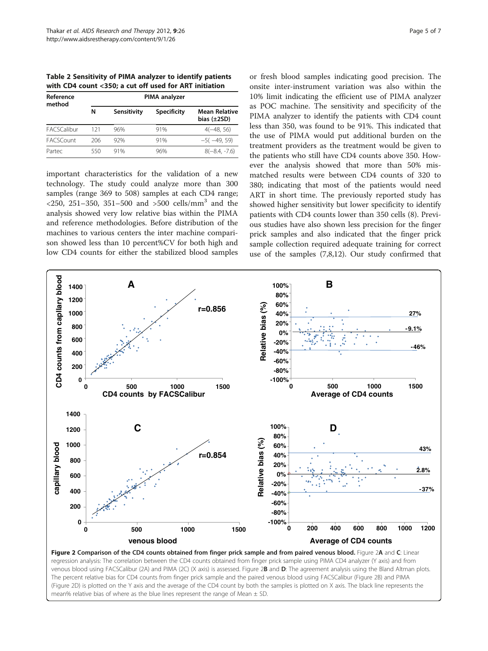<span id="page-4-0"></span>Table 2 Sensitivity of PIMA analyzer to identify patients with CD4 count <350; a cut off used for ART initiation

| Reference<br>method | <b>PIMA</b> analyzer |             |                    |                                          |  |
|---------------------|----------------------|-------------|--------------------|------------------------------------------|--|
|                     | Ν                    | Sensitivity | <b>Specificity</b> | <b>Mean Relative</b><br>bias $(\pm 2SD)$ |  |
| <b>FACSCalibur</b>  | 121                  | 96%         | 91%                | $4(-48, 56)$                             |  |
| <b>FACSCount</b>    | 206                  | 92%         | 91%                | $-5(-49, 59)$                            |  |
| Partec              | 550                  | 91%         | 96%                | $8(-8.4, -7.6)$                          |  |

important characteristics for the validation of a new technology. The study could analyze more than 300 samples (range 369 to 508) samples at each CD4 range;  $\langle 250, 251-350, 351-500 \rangle$  and  $\langle 500 \rangle$  cells/mm<sup>3</sup> and the analysis showed very low relative bias within the PIMA and reference methodologies. Before distribution of the machines to various centers the inter machine comparison showed less than 10 percent%CV for both high and low CD4 counts for either the stabilized blood samples

or fresh blood samples indicating good precision. The onsite inter-instrument variation was also within the 10% limit indicating the efficient use of PIMA analyzer as POC machine. The sensitivity and specificity of the PIMA analyzer to identify the patients with CD4 count less than 350, was found to be 91%. This indicated that the use of PIMA would put additional burden on the treatment providers as the treatment would be given to the patients who still have CD4 counts above 350. However the analysis showed that more than 50% mismatched results were between CD4 counts of 320 to 380; indicating that most of the patients would need ART in short time. The previously reported study has showed higher sensitivity but lower specificity to identify patients with CD4 counts lower than 350 cells (8). Previous studies have also shown less precision for the finger prick samples and also indicated that the finger prick sample collection required adequate training for correct use of the samples (7,8,12). Our study confirmed that



Figure 2 Comparison of the CD4 counts obtained from finger prick sample and from paired venous blood. Figure 2A and C: Linear regression analysis: The correlation between the CD4 counts obtained from finger prick sample using PIMA CD4 analyzer (Y axis) and from venous blood using FACSCalibur (2A) and PIMA (2C) (X axis) is assessed. Figure 2B and D: The agreement analysis using the Bland Altman plots. The percent relative bias for CD4 counts from finger prick sample and the paired venous blood using FACSCalibur (Figure 2B) and PIMA (Figure 2D) is plotted on the Y axis and the average of the CD4 count by both the samples is plotted on X axis. The black line represents the mean% relative bias of where as the blue lines represent the range of Mean  $\pm$  SD.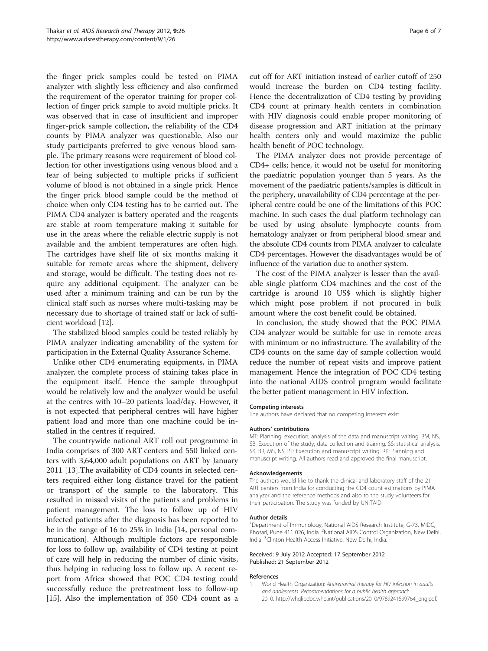<span id="page-5-0"></span>the finger prick samples could be tested on PIMA analyzer with slightly less efficiency and also confirmed the requirement of the operator training for proper collection of finger prick sample to avoid multiple pricks. It was observed that in case of insufficient and improper finger-prick sample collection, the reliability of the CD4 counts by PIMA analyzer was questionable. Also our study participants preferred to give venous blood sample. The primary reasons were requirement of blood collection for other investigations using venous blood and a fear of being subjected to multiple pricks if sufficient volume of blood is not obtained in a single prick. Hence the finger prick blood sample could be the method of choice when only CD4 testing has to be carried out. The PIMA CD4 analyzer is battery operated and the reagents are stable at room temperature making it suitable for use in the areas where the reliable electric supply is not available and the ambient temperatures are often high. The cartridges have shelf life of six months making it suitable for remote areas where the shipment, delivery and storage, would be difficult. The testing does not require any additional equipment. The analyzer can be used after a minimum training and can be run by the clinical staff such as nurses where multi-tasking may be necessary due to shortage of trained staff or lack of sufficient workload [[12](#page-6-0)].

The stabilized blood samples could be tested reliably by PIMA analyzer indicating amenability of the system for participation in the External Quality Assurance Scheme.

Unlike other CD4 enumerating equipments, in PIMA analyzer, the complete process of staining takes place in the equipment itself. Hence the sample throughput would be relatively low and the analyzer would be useful at the centres with 10–20 patients load/day. However, it is not expected that peripheral centres will have higher patient load and more than one machine could be installed in the centres if required.

The countrywide national ART roll out programme in India comprises of 300 ART centers and 550 linked centers with 3,64,000 adult populations on ART by January 2011 [[13](#page-6-0)].The availability of CD4 counts in selected centers required either long distance travel for the patient or transport of the sample to the laboratory. This resulted in missed visits of the patients and problems in patient management. The loss to follow up of HIV infected patients after the diagnosis has been reported to be in the range of 16 to 25% in India [\[14](#page-6-0), personal communication]. Although multiple factors are responsible for loss to follow up, availability of CD4 testing at point of care will help in reducing the number of clinic visits, thus helping in reducing loss to follow up. A recent report from Africa showed that POC CD4 testing could successfully reduce the pretreatment loss to follow-up [[15\]](#page-6-0). Also the implementation of 350 CD4 count as a

cut off for ART initiation instead of earlier cutoff of 250 would increase the burden on CD4 testing facility. Hence the decentralization of CD4 testing by providing CD4 count at primary health centers in combination with HIV diagnosis could enable proper monitoring of disease progression and ART initiation at the primary health centers only and would maximize the public health benefit of POC technology.

The PIMA analyzer does not provide percentage of CD4+ cells; hence, it would not be useful for monitoring the paediatric population younger than 5 years. As the movement of the paediatric patients/samples is difficult in the periphery, unavailability of CD4 percentage at the peripheral centre could be one of the limitations of this POC machine. In such cases the dual platform technology can be used by using absolute lymphocyte counts from hematology analyzer or from peripheral blood smear and the absolute CD4 counts from PIMA analyzer to calculate CD4 percentages. However the disadvantages would be of influence of the variation due to another system.

The cost of the PIMA analyzer is lesser than the available single platform CD4 machines and the cost of the cartridge is around 10 US\$ which is slightly higher which might pose problem if not procured in bulk amount where the cost benefit could be obtained.

In conclusion, the study showed that the POC PIMA CD4 analyzer would be suitable for use in remote areas with minimum or no infrastructure. The availability of the CD4 counts on the same day of sample collection would reduce the number of repeat visits and improve patient management. Hence the integration of POC CD4 testing into the national AIDS control program would facilitate the better patient management in HIV infection.

#### Competing interests

The authors have declared that no competing interests exist.

#### Authors' contributions

MT: Planning, execution, analysis of the data and manuscript writing. BM, NS, SB: Execution of the study, data collection and training. SS: statistical analysis. SK, BR, MS, NS, PT: Execution and manuscript writing. RP: Planning and manuscript writing. All authors read and approved the final manuscript.

#### Acknowledgements

The authors would like to thank the clinical and laboratory staff of the 21 ART centers from India for conducting the CD4 count estimations by PIMA analyzer and the reference methods and also to the study volunteers for their participation. The study was funded by UNITAID.

#### Author details

<sup>1</sup>Department of Immunology, National AIDS Research Institute, G-73, MIDC Bhosari, Pune 411 026, India. <sup>2</sup>National AIDS Control Organization, New Delhi, India. <sup>3</sup> Clinton Health Access Initiative, New Delhi, India.

#### Received: 9 July 2012 Accepted: 17 September 2012 Published: 21 September 2012

#### References

1. World Health Organization: Antiretroviral therapy for HIV infection in adults and adolescents: Recommendations for a public health approach. 2010. [http://whqlibdoc.who.int/publications/2010/9789241599764\\_eng.pdf.](http://whqlibdoc.who.int/publications/2010/9789241599764_eng.pdf)